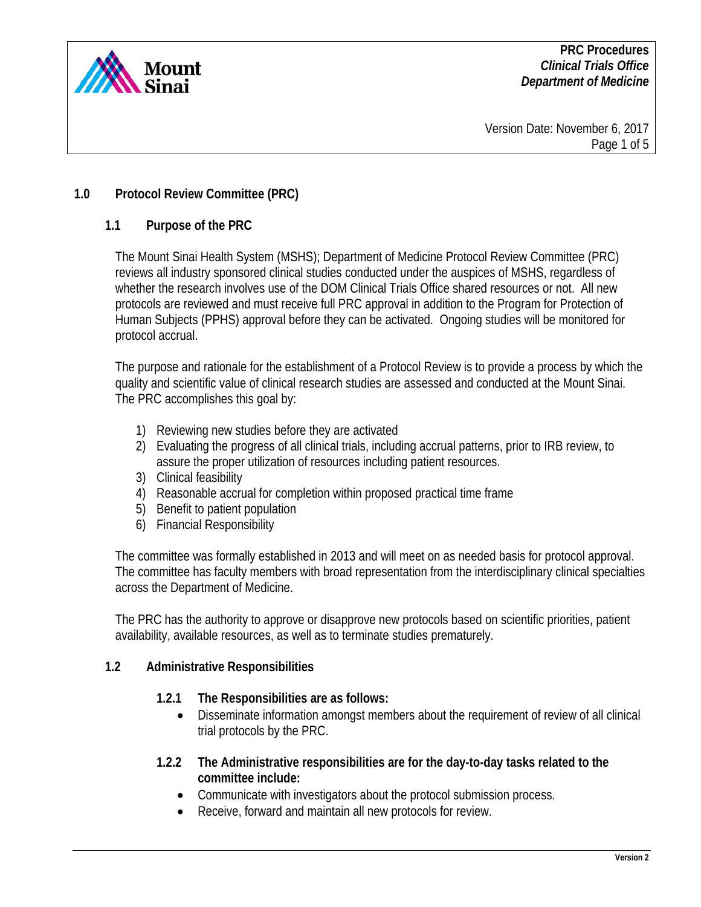

**PRC Procedures**  *Clinical Trials Office Department of Medicine* 

# **1.0 Protocol Review Committee (PRC)**

### **1.1 Purpose of the PRC**

The Mount Sinai Health System (MSHS); Department of Medicine Protocol Review Committee (PRC) reviews all industry sponsored clinical studies conducted under the auspices of MSHS, regardless of whether the research involves use of the DOM Clinical Trials Office shared resources or not. All new protocols are reviewed and must receive full PRC approval in addition to the Program for Protection of Human Subjects (PPHS) approval before they can be activated. Ongoing studies will be monitored for protocol accrual.

The purpose and rationale for the establishment of a Protocol Review is to provide a process by which the quality and scientific value of clinical research studies are assessed and conducted at the Mount Sinai. The PRC accomplishes this goal by:

- 1) Reviewing new studies before they are activated
- 2) Evaluating the progress of all clinical trials, including accrual patterns, prior to IRB review, to assure the proper utilization of resources including patient resources.
- 3) Clinical feasibility
- 4) Reasonable accrual for completion within proposed practical time frame
- 5) Benefit to patient population
- 6) Financial Responsibility

The committee was formally established in 2013 and will meet on as needed basis for protocol approval. The committee has faculty members with broad representation from the interdisciplinary clinical specialties across the Department of Medicine.

The PRC has the authority to approve or disapprove new protocols based on scientific priorities, patient availability, available resources, as well as to terminate studies prematurely.

### **1.2 Administrative Responsibilities**

### **1.2.1 The Responsibilities are as follows:**

- Disseminate information amongst members about the requirement of review of all clinical trial protocols by the PRC.
- **1.2.2 The Administrative responsibilities are for the day-to-day tasks related to the committee include:** 
	- Communicate with investigators about the protocol submission process.
	- Receive, forward and maintain all new protocols for review.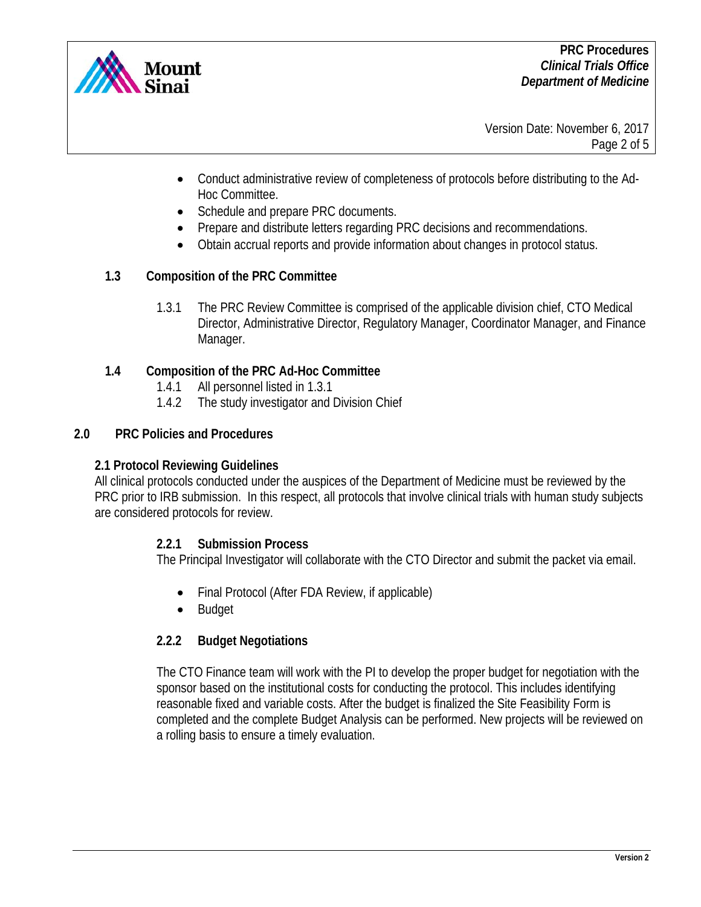

- Conduct administrative review of completeness of protocols before distributing to the Ad-Hoc Committee.
- Schedule and prepare PRC documents.
- Prepare and distribute letters regarding PRC decisions and recommendations.
- Obtain accrual reports and provide information about changes in protocol status.

# **1.3 Composition of the PRC Committee**

1.3.1 The PRC Review Committee is comprised of the applicable division chief, CTO Medical Director, Administrative Director, Regulatory Manager, Coordinator Manager, and Finance Manager.

# **1.4 Composition of the PRC Ad-Hoc Committee**

- 1.4.1 All personnel listed in 1.3.1
- 1.4.2 The study investigator and Division Chief

# **2.0 PRC Policies and Procedures**

# **2.1 Protocol Reviewing Guidelines**

All clinical protocols conducted under the auspices of the Department of Medicine must be reviewed by the PRC prior to IRB submission. In this respect, all protocols that involve clinical trials with human study subjects are considered protocols for review.

# **2.2.1 Submission Process**

The Principal Investigator will collaborate with the CTO Director and submit the packet via email.

- Final Protocol (After FDA Review, if applicable)
- Budget

# **2.2.2 Budget Negotiations**

The CTO Finance team will work with the PI to develop the proper budget for negotiation with the sponsor based on the institutional costs for conducting the protocol. This includes identifying reasonable fixed and variable costs. After the budget is finalized the Site Feasibility Form is completed and the complete Budget Analysis can be performed. New projects will be reviewed on a rolling basis to ensure a timely evaluation.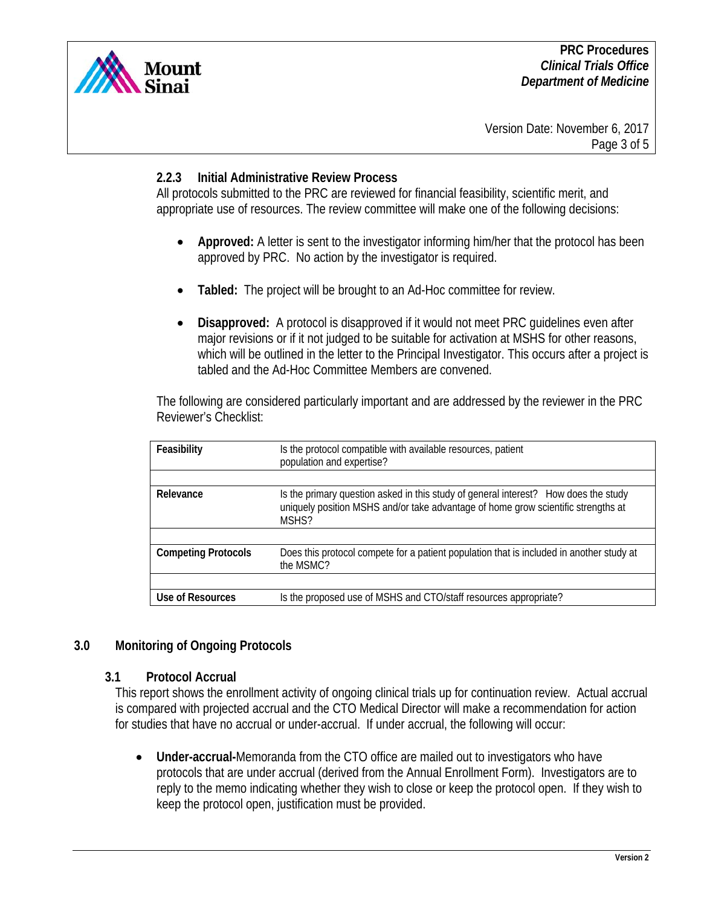

### **2.2.3 Initial Administrative Review Process**

All protocols submitted to the PRC are reviewed for financial feasibility, scientific merit, and appropriate use of resources. The review committee will make one of the following decisions:

- **Approved:** A letter is sent to the investigator informing him/her that the protocol has been approved by PRC. No action by the investigator is required.
- **Tabled:** The project will be brought to an Ad-Hoc committee for review.
- **Disapproved:** A protocol is disapproved if it would not meet PRC guidelines even after major revisions or if it not judged to be suitable for activation at MSHS for other reasons, which will be outlined in the letter to the Principal Investigator. This occurs after a project is tabled and the Ad-Hoc Committee Members are convened.

The following are considered particularly important and are addressed by the reviewer in the PRC Reviewer's Checklist:

| Feasibility                | Is the protocol compatible with available resources, patient<br>population and expertise?                                                                                         |
|----------------------------|-----------------------------------------------------------------------------------------------------------------------------------------------------------------------------------|
|                            |                                                                                                                                                                                   |
| Relevance                  | Is the primary question asked in this study of general interest? How does the study<br>uniquely position MSHS and/or take advantage of home grow scientific strengths at<br>MSHS? |
|                            |                                                                                                                                                                                   |
| <b>Competing Protocols</b> | Does this protocol compete for a patient population that is included in another study at<br>the MSMC?                                                                             |
|                            |                                                                                                                                                                                   |
| Use of Resources           | Is the proposed use of MSHS and CTO/staff resources appropriate?                                                                                                                  |

### **3.0 Monitoring of Ongoing Protocols**

### **3.1 Protocol Accrual**

This report shows the enrollment activity of ongoing clinical trials up for continuation review. Actual accrual is compared with projected accrual and the CTO Medical Director will make a recommendation for action for studies that have no accrual or under-accrual. If under accrual, the following will occur:

 **Under-accrual-**Memoranda from the CTO office are mailed out to investigators who have protocols that are under accrual (derived from the Annual Enrollment Form). Investigators are to reply to the memo indicating whether they wish to close or keep the protocol open. If they wish to keep the protocol open, justification must be provided.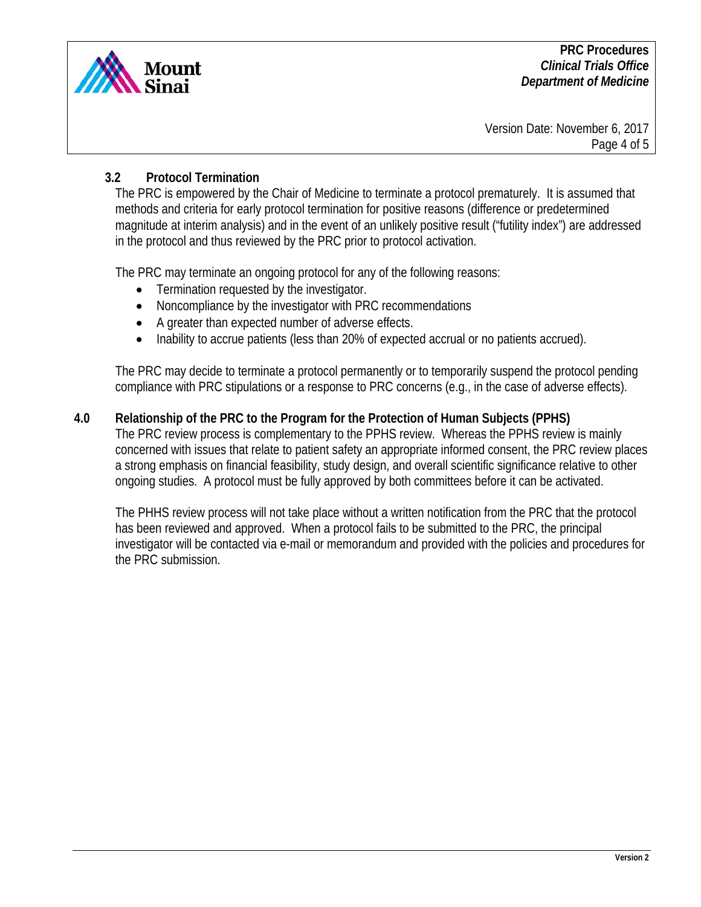

# **3.2 Protocol Termination**

The PRC is empowered by the Chair of Medicine to terminate a protocol prematurely. It is assumed that methods and criteria for early protocol termination for positive reasons (difference or predetermined magnitude at interim analysis) and in the event of an unlikely positive result ("futility index") are addressed in the protocol and thus reviewed by the PRC prior to protocol activation.

The PRC may terminate an ongoing protocol for any of the following reasons:

- Termination requested by the investigator.
- Noncompliance by the investigator with PRC recommendations
- A greater than expected number of adverse effects.
- Inability to accrue patients (less than 20% of expected accrual or no patients accrued).

The PRC may decide to terminate a protocol permanently or to temporarily suspend the protocol pending compliance with PRC stipulations or a response to PRC concerns (e.g., in the case of adverse effects).

### **4.0 Relationship of the PRC to the Program for the Protection of Human Subjects (PPHS)**

The PRC review process is complementary to the PPHS review. Whereas the PPHS review is mainly concerned with issues that relate to patient safety an appropriate informed consent, the PRC review places a strong emphasis on financial feasibility, study design, and overall scientific significance relative to other ongoing studies. A protocol must be fully approved by both committees before it can be activated.

The PHHS review process will not take place without a written notification from the PRC that the protocol has been reviewed and approved. When a protocol fails to be submitted to the PRC, the principal investigator will be contacted via e-mail or memorandum and provided with the policies and procedures for the PRC submission.